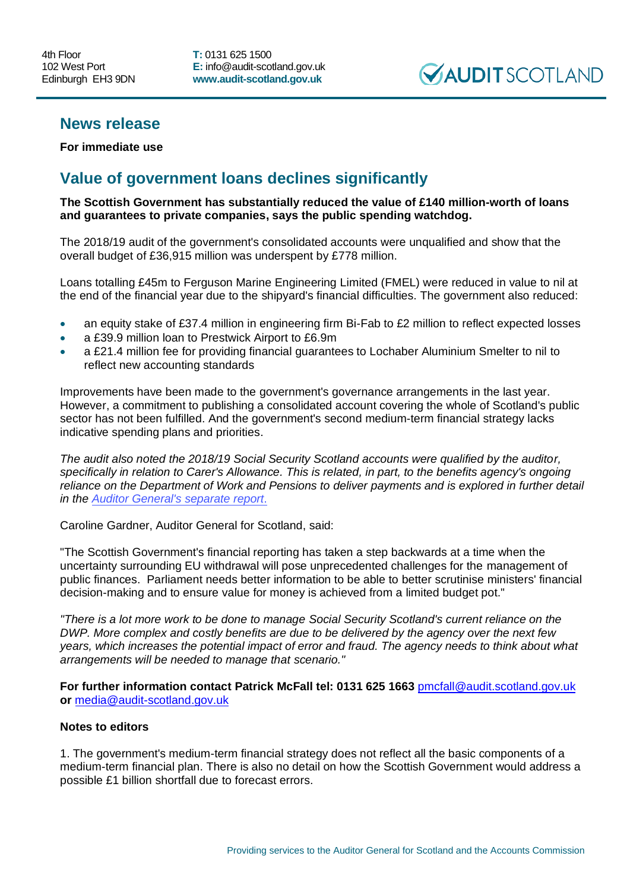**T:** 0131 625 1500 **E:** info@audit-scotland.gov.uk **www.audit-scotland.gov.uk**



## **News release**

**For immediate use** 

## **Value of government loans declines significantly**

**The Scottish Government has substantially reduced the value of £140 million-worth of loans and guarantees to private companies, says the public spending watchdog.**

The 2018/19 audit of the government's consolidated accounts were unqualified and show that the overall budget of £36,915 million was underspent by £778 million.

Loans totalling £45m to Ferguson Marine Engineering Limited (FMEL) were reduced in value to nil at the end of the financial year due to the shipyard's financial difficulties. The government also reduced:

- an equity stake of £37.4 million in engineering firm Bi-Fab to £2 million to reflect expected losses
- a £39.9 million loan to Prestwick Airport to £6.9m
- a £21.4 million fee for providing financial guarantees to Lochaber Aluminium Smelter to nil to reflect new accounting standards

Improvements have been made to the government's governance arrangements in the last year. However, a commitment to publishing a consolidated account covering the whole of Scotland's public sector has not been fulfilled. And the government's second medium-term financial strategy lacks indicative spending plans and priorities.

*The audit also noted the 2018/19 Social Security Scotland accounts were qualified by the auditor, specifically in relation to Carer's Allowance. This is related, in part, to the benefits agency's ongoing reliance on the Department of Work and Pensions to deliver payments and is explored in further detail in the [Auditor General's separate report](https://www.audit-scotland.gov.uk/uploads/docs/report/2019/s22_190926_social_security.pdf)*.

Caroline Gardner, Auditor General for Scotland, said:

"The Scottish Government's financial reporting has taken a step backwards at a time when the uncertainty surrounding EU withdrawal will pose unprecedented challenges for the management of public finances. Parliament needs better information to be able to better scrutinise ministers' financial decision-making and to ensure value for money is achieved from a limited budget pot."

*"There is a lot more work to be done to manage Social Security Scotland's current reliance on the DWP. More complex and costly benefits are due to be delivered by the agency over the next few years, which increases the potential impact of error and fraud. The agency needs to think about what arrangements will be needed to manage that scenario."* 

**For further information contact Patrick McFall tel: 0131 625 1663** [pmcfall@audit.scotland.gov.uk](mailto:pmcfall@audit.scotland.gov.uk) **or** [media@audit-scotland.gov.uk](mailto:media@audit-scotland.gov.uk)

## **Notes to editors**

1. The government's medium-term financial strategy does not reflect all the basic components of a medium-term financial plan. There is also no detail on how the Scottish Government would address a possible £1 billion shortfall due to forecast errors.